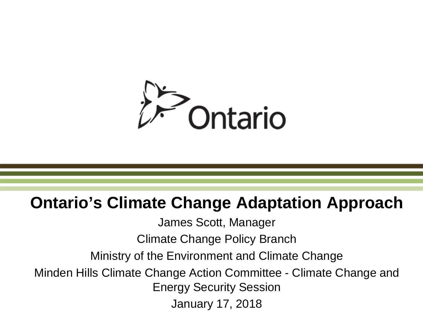

### **Ontario's Climate Change Adaptation Approach**

James Scott, Manager

Climate Change Policy Branch

Ministry of the Environment and Climate Change

Minden Hills Climate Change Action Committee - Climate Change and Energy Security Session

January 17, 2018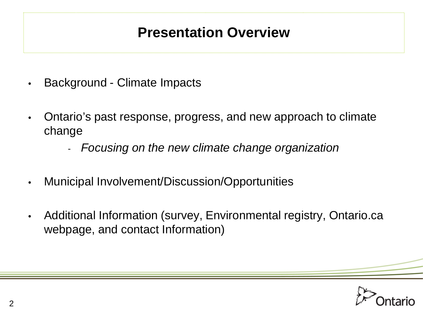### **Presentation Overview**

- Background Climate Impacts
- Ontario's past response, progress, and new approach to climate change
	- *Focusing on the new climate change organization*
- Municipal Involvement/Discussion/Opportunities
- Additional Information (survey, Environmental registry, Ontario.ca webpage, and contact Information)

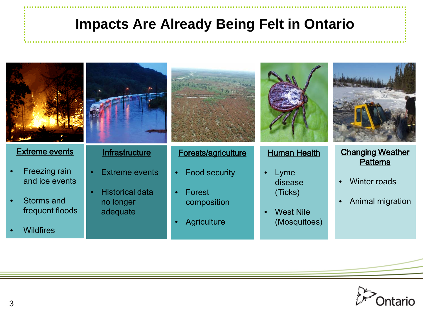### **Impacts Are Already Being Felt in Ontario**



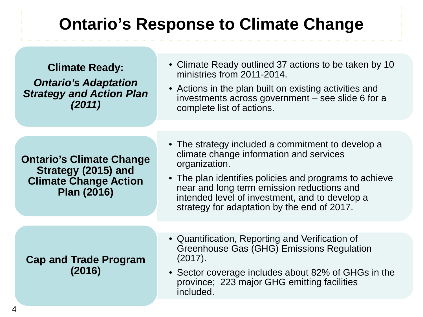## **Ontario's Response to Climate Change**

**Climate Ready:**  *Ontario's Adaptation Strategy and Action Plan (2011)*

- Climate Ready outlined 37 actions to be taken by 10 ministries from 2011-2014.
- Actions in the plan built on existing activities and investments across government – see slide 6 for a complete list of actions.

**Ontario's Climate Change Strategy (2015) and Climate Change Action Plan (2016)**

- The strategy included a commitment to develop a climate change information and services organization.
- The plan identifies policies and programs to achieve near and long term emission reductions and intended level of investment, and to develop a strategy for adaptation by the end of 2017.

**Cap and Trade Program (2016)**

- Quantification, Reporting and Verification of Greenhouse Gas (GHG) Emissions Regulation (2017).
- Sector coverage includes about 82% of GHGs in the province; 223 major GHG emitting facilities included.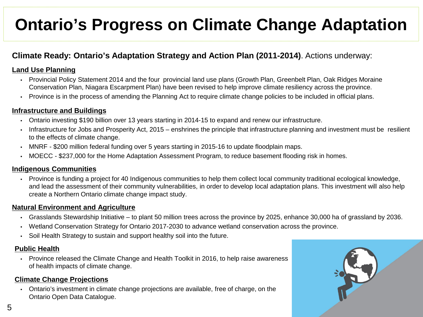## **Ontario's Progress on Climate Change Adaptation**

### **Climate Ready: Ontario's Adaptation Strategy and Action Plan (2011-2014)**. Actions underway:

#### **Land Use Planning**

- Provincial Policy Statement 2014 and the four provincial land use plans (Growth Plan, Greenbelt Plan, Oak Ridges Moraine Conservation Plan, Niagara Escarpment Plan) have been revised to help improve climate resiliency across the province.
- Province is in the process of amending the Planning Act to require climate change policies to be included in official plans.

#### **Infrastructure and Buildings**

- Ontario investing \$190 billion over 13 years starting in 2014-15 to expand and renew our infrastructure.
- Infrastructure for Jobs and Prosperity Act, 2015 enshrines the principle that infrastructure planning and investment must be resilient to the effects of climate change.
- MNRF \$200 million federal funding over 5 years starting in 2015-16 to update floodplain maps.
- MOECC \$237,000 for the Home Adaptation Assessment Program, to reduce basement flooding risk in homes.

#### **Indigenous Communities**

• Province is funding a project for 40 Indigenous communities to help them collect local community traditional ecological knowledge, and lead the assessment of their community vulnerabilities, in order to develop local adaptation plans. This investment will also help create a Northern Ontario climate change impact study.

#### **Natural Environment and Agriculture**

- Grasslands Stewardship Initiative to plant 50 million trees across the province by 2025, enhance 30,000 ha of grassland by 2036.
- Wetland Conservation Strategy for Ontario 2017-2030 to advance wetland conservation across the province.
- Soil Health Strategy to sustain and support healthy soil into the future.

#### **Public Health**

• Province released the Climate Change and Health Toolkit in 2016, to help raise awareness of health impacts of climate change.

#### **Climate Change Projections**

• Ontario's investment in climate change projections are available, free of charge, on the Ontario Open Data Catalogue.

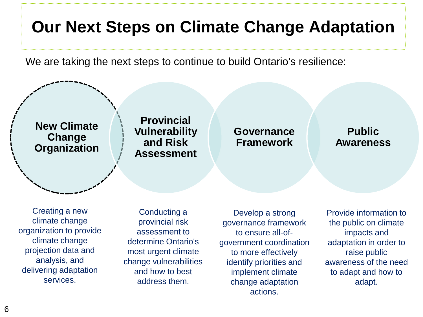## **Our Next Steps on Climate Change Adaptation**

We are taking the next steps to continue to build Ontario's resilience:



Creating a new climate change organization to provide climate change projection data and analysis, and delivering adaptation services.

Conducting a provincial risk assessment to determine Ontario's most urgent climate change vulnerabilities and how to best address them.

Develop a strong governance framework to ensure all-ofgovernment coordination to more effectively identify priorities and implement climate change adaptation actions.

Provide information to the public on climate impacts and adaptation in order to raise public awareness of the need to adapt and how to adapt.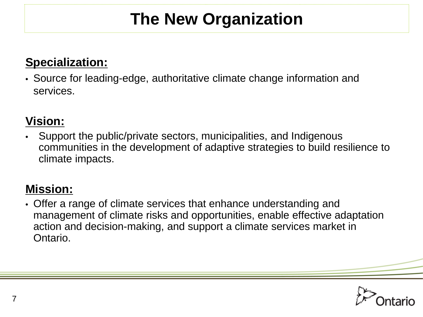# **The New Organization**

### **Specialization:**

• Source for leading-edge, authoritative climate change information and services.

### **Vision:**

• Support the public/private sectors, municipalities, and Indigenous communities in the development of adaptive strategies to build resilience to climate impacts.

### **Mission:**

• Offer a range of climate services that enhance understanding and management of climate risks and opportunities, enable effective adaptation action and decision-making, and support a climate services market in Ontario.

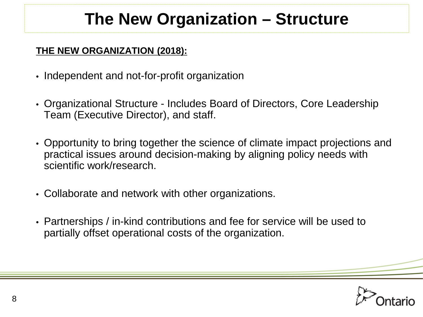# **The New Organization – Structure**

### **THE NEW ORGANIZATION (2018):**

- Independent and not-for-profit organization
- Organizational Structure Includes Board of Directors, Core Leadership Team (Executive Director), and staff.
- Opportunity to bring together the science of climate impact projections and practical issues around decision-making by aligning policy needs with scientific work/research.
- Collaborate and network with other organizations.
- Partnerships / in-kind contributions and fee for service will be used to partially offset operational costs of the organization.

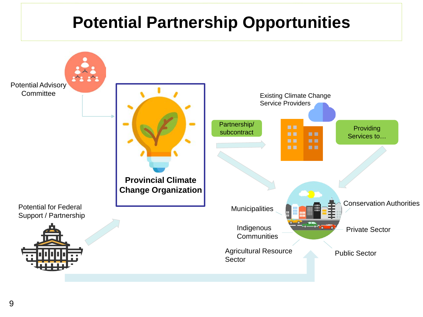## **Potential Partnership Opportunities**

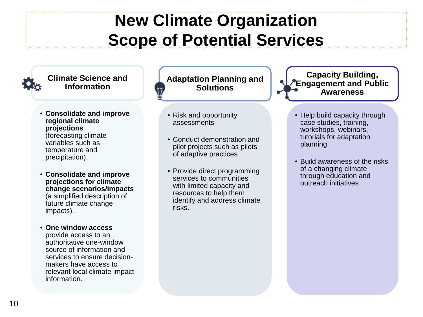## **New Climate Organization Scope of Potential Services**



makers have access to relevant local climate impact

information.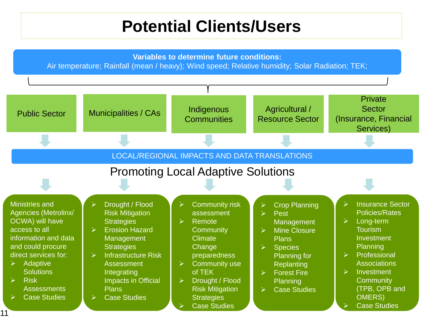## **Potential Clients/Users**

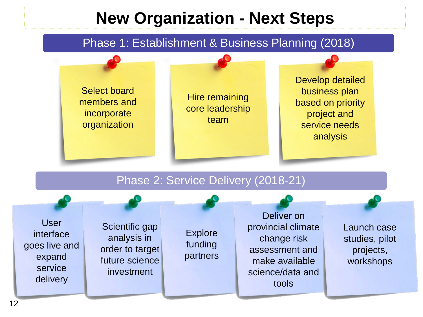## **New Organization - Next Steps**

### Phase 1: Establishment & Business Planning (2018)



goes live and expand service delivery

order to target future science investment

partners

assessment and make available science/data and tools

Launch case studies, pilot projects, workshops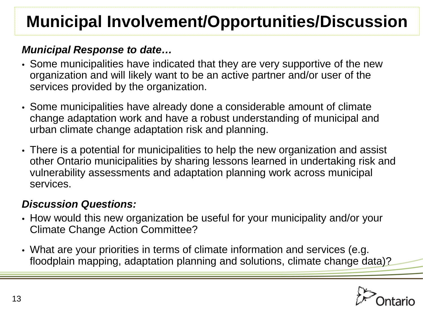# **Municipal Involvement/Opportunities/Discussion**

### *Municipal Response to date…*

- Some municipalities have indicated that they are very supportive of the new organization and will likely want to be an active partner and/or user of the services provided by the organization.
- Some municipalities have already done a considerable amount of climate change adaptation work and have a robust understanding of municipal and urban climate change adaptation risk and planning.
- There is a potential for municipalities to help the new organization and assist other Ontario municipalities by sharing lessons learned in undertaking risk and vulnerability assessments and adaptation planning work across municipal services.

### *Discussion Questions:*

- How would this new organization be useful for your municipality and/or your Climate Change Action Committee?
- What are your priorities in terms of climate information and services (e.g. floodplain mapping, adaptation planning and solutions, climate change data)?